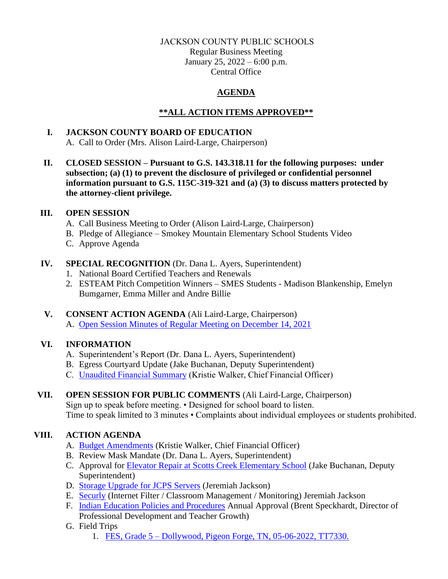#### JACKSON COUNTY PUBLIC SCHOOLS

Regular Business Meeting January 25, 2022 – 6:00 p.m. Central Office

# **AGENDA**

## **\*\*ALL ACTION ITEMS APPROVED\*\***

## **I. JACKSON COUNTY BOARD OF EDUCATION**

A. Call to Order (Mrs. Alison Laird-Large, Chairperson)

**II. CLOSED SESSION – Pursuant to G.S. 143.318.11 for the following purposes: under subsection; (a) (1) to prevent the disclosure of privileged or confidential personnel information pursuant to G.S. 115C-319-321 and (a) (3) to discuss matters protected by the attorney-client privilege.**

## **III. OPEN SESSION**

- A. Call Business Meeting to Order (Alison Laird-Large, Chairperson)
- B. Pledge of Allegiance Smokey Mountain Elementary School Students Video
- C. Approve Agenda

## **IV. SPECIAL RECOGNITION** (Dr. Dana L. Ayers, Superintendent)

- 1. National Board Certified Teachers and Renewals
- 2. ESTEAM Pitch Competition Winners SMES Students Madison Blankenship, Emelyn Bumgarner, Emma Miller and Andre Billie

## **V. CONSENT ACTION AGENDA** (Ali Laird-Large, Chairperson)

A. [Open Session Minutes of Regular Meeting on December 14, 2021](https://jcpsmail-my.sharepoint.com/:b:/g/personal/cfields_jcpsmail_org/EdMep8ds92lMi5pU6VlBMH4BgusGlAtlM1bNr3HEouJsow?e=1vSEdp)

# **VI. INFORMATION**

- A. Superintendent's Report (Dr. Dana L. Ayers, Superintendent)
- B. Egress Courtyard Update (Jake Buchanan, Deputy Superintendent)
- C. [Unaudited Financial Summary](https://jcpsmail-my.sharepoint.com/:b:/g/personal/cfields_jcpsmail_org/EaqH8d92eUxMgCyjrSDfqmMBXSETuHY8zO-sd1pS0n6_pg?e=E3J8Tr) (Kristie Walker, Chief Financial Officer)

## **VII. OPEN SESSION FOR PUBLIC COMMENTS** (Ali Laird-Large, Chairperson)

Sign up to speak before meeting. • Designed for school board to listen. Time to speak limited to 3 minutes • Complaints about individual employees or students prohibited.

## **VIII. ACTION AGENDA**

- A. [Budget Amendments](https://jcpsmail-my.sharepoint.com/:b:/g/personal/cfields_jcpsmail_org/ES8RS2oRmYhFrtH2KAcEh_sBssDNJS_qCmZwCKF2V-R6Yw?e=IcGVRc) (Kristie Walker, Chief Financial Officer)
- B. Review Mask Mandate (Dr. Dana L. Ayers, Superintendent)
- C. Approval for [Elevator Repair at Scotts Creek Elementary School](https://jcpsmail-my.sharepoint.com/:b:/g/personal/cfields_jcpsmail_org/Ee1fOlpenp9PouAbP8e8jlIBulSfTaCBbQmXHRwTozTuOw?e=U0iNmV) (Jake Buchanan, Deputy Superintendent)
- D. [Storage Upgrade](https://jcpsmail-my.sharepoint.com/:b:/g/personal/cfields_jcpsmail_org/EQLoAtbwl0NEmSZqm0VEyI0BDP8XAxgDJLIvuqkCh5YvPw?e=2IiYjv) for JCPS Servers (Jeremiah Jackson)
- E. [Securly](https://jcpsmail-my.sharepoint.com/:b:/g/personal/cfields_jcpsmail_org/ETLcLakTDlxIpakFpwwkpJkBvdv2ZHRiABOx8OZtkmN4rw?e=88NgzO) (Internet Filter / Classroom Management / Monitoring) Jeremiah Jackson
- F. [Indian Education Policies and Procedures](https://jcpsmail-my.sharepoint.com/:b:/g/personal/cfields_jcpsmail_org/ER5b9ygwdTFHuSfmPELqmr0B8ZniEzdyDGxDbaPXDkNmCw?e=hcgSj1) Annual Approval (Brent Speckhardt, Director of Professional Development and Teacher Growth)

## G. Field Trips

1. FES, Grade 5 – [Dollywood, Pigeon Forge, TN, 05-06-2022, TT7330.](https://jcpsmail-my.sharepoint.com/:b:/g/personal/cfields_jcpsmail_org/EdsjPgiD3AFIseIKJK9ypW0BDq7b6jkWoZhd03DriHOhGQ?e=ot0ISj)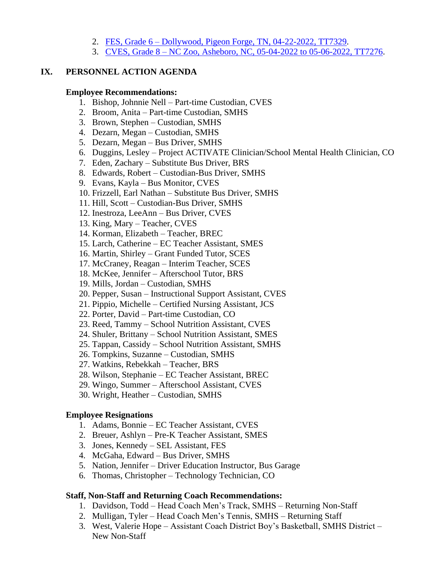- 2. FES, Grade 6 [Dollywood, Pigeon Forge, TN, 04-22-2022, TT7329.](https://jcpsmail-my.sharepoint.com/:b:/g/personal/cfields_jcpsmail_org/EXKRL0GB5_NJp9ao0wL2OygBW8YYxl8iiqapufKm1zscNA?e=sin1Qa)
- 3. CVES, Grade 8 [NC Zoo, Asheboro, NC, 05-04-2022 to 05-06-2022, TT7276.](https://jcpsmail-my.sharepoint.com/:b:/g/personal/cfields_jcpsmail_org/EWBEWVX0aVtNreKN_Vj43_YBQ8r0quoWQkTt0vAhy8YA0A?e=2yyZHF)

#### **IX. PERSONNEL ACTION AGENDA**

#### **Employee Recommendations:**

- 1. Bishop, Johnnie Nell Part-time Custodian, CVES
- 2. Broom, Anita Part-time Custodian, SMHS
- 3. Brown, Stephen Custodian, SMHS
- 4. Dezarn, Megan Custodian, SMHS
- 5. Dezarn, Megan Bus Driver, SMHS
- 6. Duggins, Lesley Project ACTIVATE Clinician/School Mental Health Clinician, CO
- 7. Eden, Zachary Substitute Bus Driver, BRS
- 8. Edwards, Robert Custodian-Bus Driver, SMHS
- 9. Evans, Kayla Bus Monitor, CVES
- 10. Frizzell, Earl Nathan Substitute Bus Driver, SMHS
- 11. Hill, Scott Custodian-Bus Driver, SMHS
- 12. Inestroza, LeeAnn Bus Driver, CVES
- 13. King, Mary Teacher, CVES
- 14. Korman, Elizabeth Teacher, BREC
- 15. Larch, Catherine EC Teacher Assistant, SMES
- 16. Martin, Shirley Grant Funded Tutor, SCES
- 17. McCraney, Reagan Interim Teacher, SCES
- 18. McKee, Jennifer Afterschool Tutor, BRS
- 19. Mills, Jordan Custodian, SMHS
- 20. Pepper, Susan Instructional Support Assistant, CVES
- 21. Pippio, Michelle Certified Nursing Assistant, JCS
- 22. Porter, David Part-time Custodian, CO
- 23. Reed, Tammy School Nutrition Assistant, CVES
- 24. Shuler, Brittany School Nutrition Assistant, SMES
- 25. Tappan, Cassidy School Nutrition Assistant, SMHS
- 26. Tompkins, Suzanne Custodian, SMHS
- 27. Watkins, Rebekkah Teacher, BRS
- 28. Wilson, Stephanie EC Teacher Assistant, BREC
- 29. Wingo, Summer Afterschool Assistant, CVES
- 30. Wright, Heather Custodian, SMHS

#### **Employee Resignations**

- 1. Adams, Bonnie EC Teacher Assistant, CVES
- 2. Breuer, Ashlyn Pre-K Teacher Assistant, SMES
- 3. Jones, Kennedy SEL Assistant, FES
- 4. McGaha, Edward Bus Driver, SMHS
- 5. Nation, Jennifer Driver Education Instructor, Bus Garage
- 6. Thomas, Christopher Technology Technician, CO

#### **Staff, Non-Staff and Returning Coach Recommendations:**

- 1. Davidson, Todd Head Coach Men's Track, SMHS Returning Non-Staff
- 2. Mulligan, Tyler Head Coach Men's Tennis, SMHS Returning Staff
- 3. West, Valerie Hope Assistant Coach District Boy's Basketball, SMHS District New Non-Staff